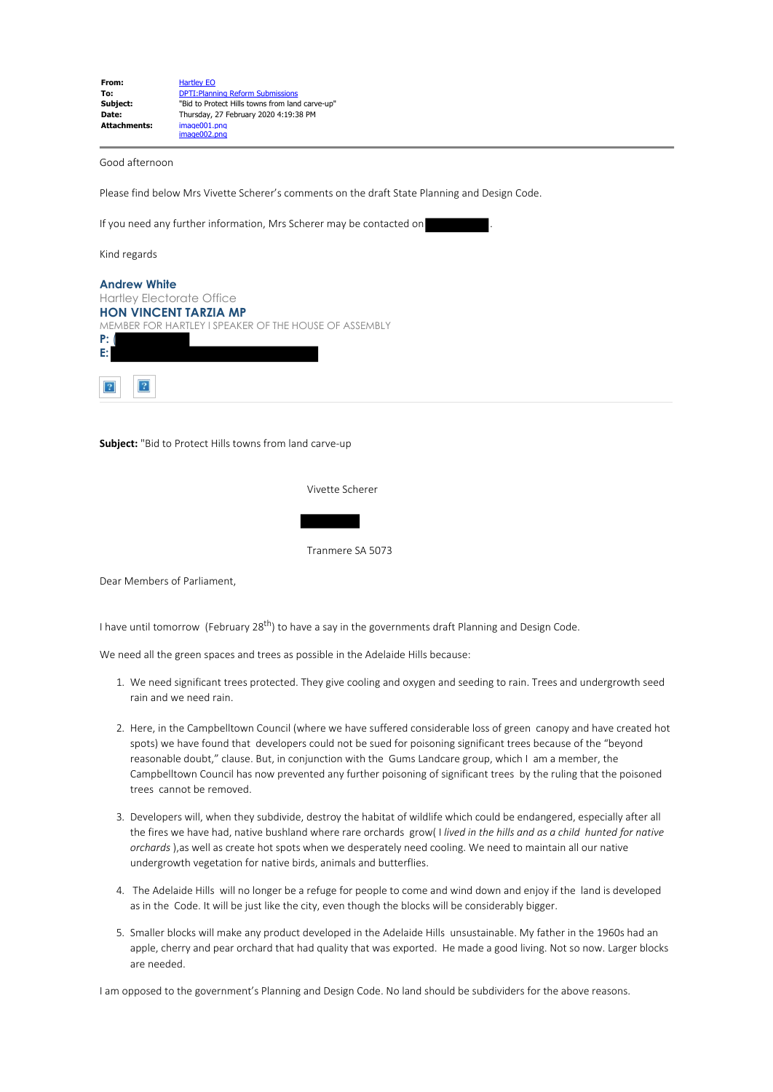| From:               | <b>Hartley EO</b>                               |
|---------------------|-------------------------------------------------|
| To:                 | <b>DPTI: Planning Reform Submissions</b>        |
| Subject:            | "Bid to Protect Hills towns from land carve-up" |
| Date:               | Thursday, 27 February 2020 4:19:38 PM           |
| <b>Attachments:</b> | image001.png                                    |
|                     | image002.png                                    |

Good afternoon

Please find below Mrs Vivette Scherer's comments on the draft State Planning and Design Code.

If you need any further information, Mrs Scherer may be contacted on

Kind regards

| <b>Andrew White</b>                                   |
|-------------------------------------------------------|
| <b>Hartley Electorate Office</b>                      |
| <b>HON VINCENT TARZIA MP</b>                          |
| MEMBER FOR HARTLEY I SPEAKER OF THE HOUSE OF ASSEMBLY |
| P:                                                    |
| E:                                                    |
|                                                       |
|                                                       |

**Subject:** "Bid to Protect Hills towns from land carve-up

Vivette Scherer

Tranmere SA 5073

Dear Members of Parliament,

I have until tomorrow (February 28<sup>th</sup>) to have a say in the governments draft Planning and Design Code.

We need all the green spaces and trees as possible in the Adelaide Hills because:

- 1. We need significant trees protected. They give cooling and oxygen and seeding to rain. Trees and undergrowth seed rain and we need rain.
- 2. Here, in the Campbelltown Council (where we have suffered considerable loss of green canopy and have created hot spots) we have found that developers could not be sued for poisoning significant trees because of the "beyond reasonable doubt," clause. But, in conjunction with the Gums Landcare group, which I am a member, the Campbelltown Council has now prevented any further poisoning of significant trees by the ruling that the poisoned trees cannot be removed.
- 3. Developers will, when they subdivide, destroy the habitat of wildlife which could be endangered, especially after all the fires we have had, native bushland where rare orchards grow( I *lived in the hills and as a child hunted for native orchards* ),as well as create hot spots when we desperately need cooling. We need to maintain all our native undergrowth vegetation for native birds, animals and butterflies.
- 4. The Adelaide Hills will no longer be a refuge for people to come and wind down and enjoy if the land is developed as in the Code. It will be just like the city, even though the blocks will be considerably bigger.
- 5. Smaller blocks will make any product developed in the Adelaide Hills unsustainable. My father in the 1960s had an apple, cherry and pear orchard that had quality that was exported. He made a good living. Not so now. Larger blocks are needed.

I am opposed to the government's Planning and Design Code. No land should be subdividers for the above reasons.